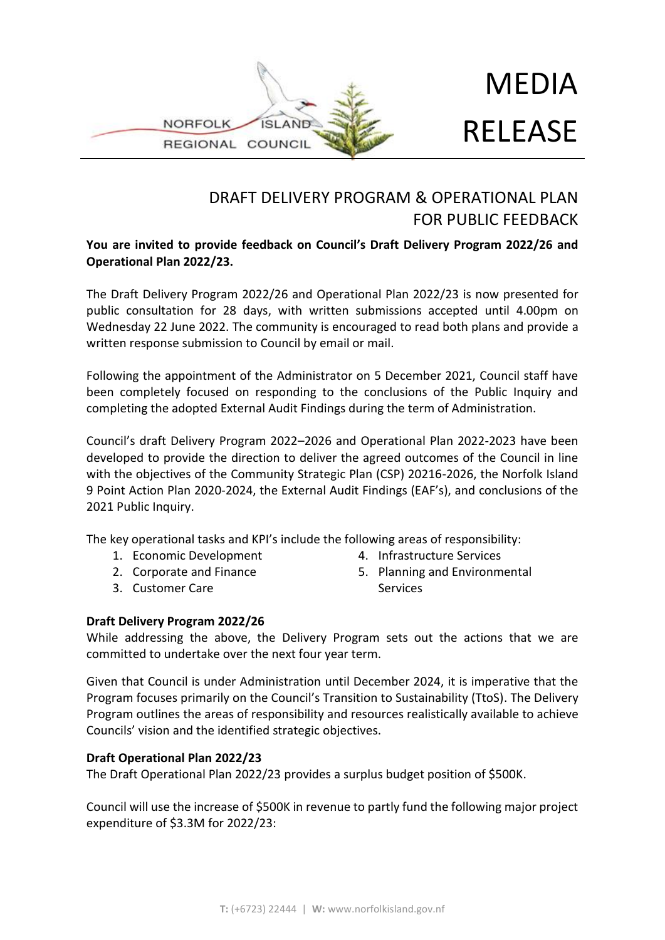

# MEDIA RELEASE

## DRAFT DELIVERY PROGRAM & OPERATIONAL PLAN FOR PUBLIC FEEDBACK

### **You are invited to provide feedback on Council's Draft Delivery Program 2022/26 and Operational Plan 2022/23.**

The Draft Delivery Program 2022/26 and Operational Plan 2022/23 is now presented for public consultation for 28 days, with written submissions accepted until 4.00pm on Wednesday 22 June 2022. The community is encouraged to read both plans and provide a written response submission to Council by email or mail.

Following the appointment of the Administrator on 5 December 2021, Council staff have been completely focused on responding to the conclusions of the Public Inquiry and completing the adopted External Audit Findings during the term of Administration.

Council's draft Delivery Program 2022–2026 and Operational Plan 2022-2023 have been developed to provide the direction to deliver the agreed outcomes of the Council in line with the objectives of the Community Strategic Plan (CSP) 20216-2026, the Norfolk Island 9 Point Action Plan 2020-2024, the External Audit Findings (EAF's), and conclusions of the 2021 Public Inquiry.

The key operational tasks and KPI's include the following areas of responsibility:

- 1. Economic Development
- 2. Corporate and Finance
- 3. Customer Care
- 4. Infrastructure Services
- 5. Planning and Environmental **Services**

#### **Draft Delivery Program 2022/26**

While addressing the above, the Delivery Program sets out the actions that we are committed to undertake over the next four year term.

Given that Council is under Administration until December 2024, it is imperative that the Program focuses primarily on the Council's Transition to Sustainability (TtoS). The Delivery Program outlines the areas of responsibility and resources realistically available to achieve Councils' vision and the identified strategic objectives.

#### **Draft Operational Plan 2022/23**

The Draft Operational Plan 2022/23 provides a surplus budget position of \$500K.

Council will use the increase of \$500K in revenue to partly fund the following major project expenditure of \$3.3M for 2022/23: